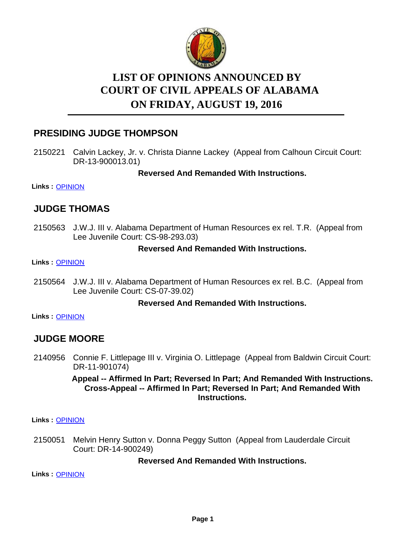

# **LIST OF OPINIONS ANNOUNCED BY ON FRIDAY, AUGUST 19, 2016 COURT OF CIVIL APPEALS OF ALABAMA**

### **PRESIDING JUDGE THOMPSON**

2150221 Calvin Lackey, Jr. v. Christa Dianne Lackey (Appeal from Calhoun Circuit Court: DR-13-900013.01)

**Reversed And Remanded With Instructions.**

**Links :** [OPINION](https://acis.alabama.gov/displaydocs.cfm?no=754452&event=4PK0KQUFL)

### **JUDGE THOMAS**

2150563 J.W.J. III v. Alabama Department of Human Resources ex rel. T.R. (Appeal from Lee Juvenile Court: CS-98-293.03)

#### **Reversed And Remanded With Instructions.**

**Links :** [OPINION](https://acis.alabama.gov/displaydocs.cfm?no=754455&event=4PK0KQVF3)

2150564 J.W.J. III v. Alabama Department of Human Resources ex rel. B.C. (Appeal from Lee Juvenile Court: CS-07-39.02)

#### **Reversed And Remanded With Instructions.**

**Links :** [OPINION](https://acis.alabama.gov/displaydocs.cfm?no=754456&event=4PK0KQVQD)

### **JUDGE MOORE**

2140956 Connie F. Littlepage III v. Virginia O. Littlepage (Appeal from Baldwin Circuit Court: DR-11-901074)

#### **Appeal -- Affirmed In Part; Reversed In Part; And Remanded With Instructions. Cross-Appeal -- Affirmed In Part; Reversed In Part; And Remanded With Instructions.**

**Links :** [OPINION](https://acis.alabama.gov/displaydocs.cfm?no=754450&event=4PK0KQTHB)

Melvin Henry Sutton v. Donna Peggy Sutton (Appeal from Lauderdale Circuit Court: DR-14-900249) 2150051

#### **Reversed And Remanded With Instructions.**

**Links :** [OPINION](https://acis.alabama.gov/displaydocs.cfm?no=754451&event=4PK0KQU24)